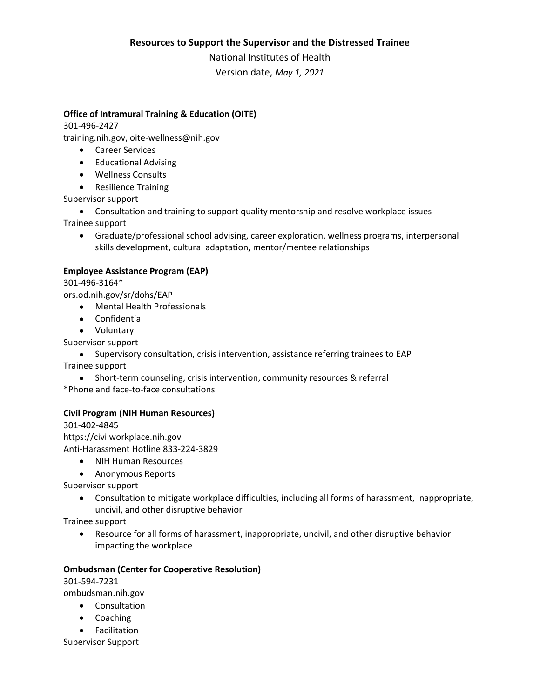#### **Resources to Support the Supervisor and the Distressed Trainee**

National Institutes of Health

Version date, *May 1, 2021*

# **Office of Intramural Training & Education (OITE)**

#### 301-496-2427

training.nih.gov, oite-wellness@nih.gov

- Career Services
- Educational Advising
- Wellness Consults
- Resilience Training

Supervisor support

- Consultation and training to support quality mentorship and resolve workplace issues Trainee support
	- Graduate/professional school advising, career exploration, wellness programs, interpersonal skills development, cultural adaptation, mentor/mentee relationships

# **Employee Assistance Program (EAP)**

301-496-3164\*

ors.od.nih.gov/sr/dohs/EAP

- Mental Health Professionals
- Confidential
- Voluntary

Supervisor support

• Supervisory consultation, crisis intervention, assistance referring trainees to EAP Trainee support

• Short-term counseling, crisis intervention, community resources & referral \*Phone and face-to-face consultations

## **Civil Program (NIH Human Resources)**

301-402-4845 https://civilworkplace.nih.gov Anti-Harassment Hotline 833-224-3829

- NIH Human Resources
- Anonymous Reports

Supervisor support

• Consultation to mitigate workplace difficulties, including all forms of harassment, inappropriate, uncivil, and other disruptive behavior

Trainee support

• Resource for all forms of harassment, inappropriate, uncivil, and other disruptive behavior impacting the workplace

## **Ombudsman (Center for Cooperative Resolution)**

301-594-7231

ombudsman.nih.gov

- Consultation
- Coaching
- Facilitation

Supervisor Support